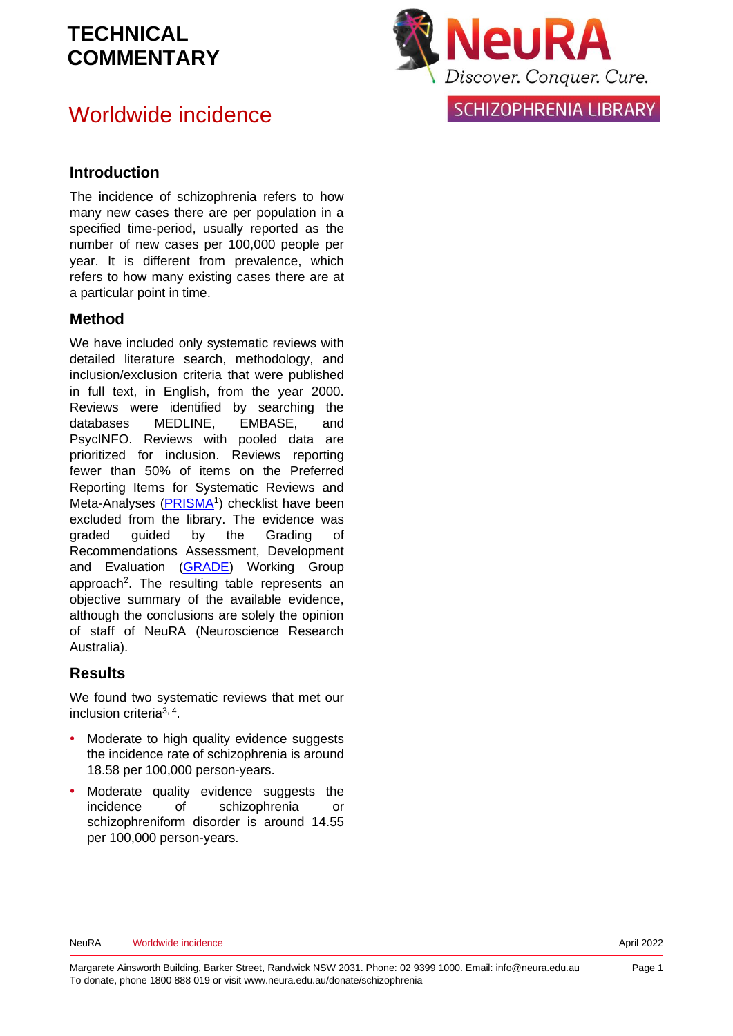## Worldwide incidence



**SCHIZOPHRENIA LIBRARY** 

#### **Introduction**

The incidence of schizophrenia refers to how many new cases there are per population in a specified time-period, usually reported as the number of new cases per 100,000 people per year. It is different from prevalence, which refers to how many existing cases there are at a particular point in time.

#### **Method**

We have included only systematic reviews with detailed literature search, methodology, and inclusion/exclusion criteria that were published in full text, in English, from the year 2000. Reviews were identified by searching the databases MEDLINE, EMBASE, and PsycINFO. Reviews with pooled data are prioritized for inclusion. Reviews reporting fewer than 50% of items on the Preferred Reporting Items for Systematic Reviews and Meta-Analyses [\(PRISMA](http://www.prisma-statement.org/)<sup>[1](#page-5-0)</sup>) checklist have been excluded from the library. The evidence was graded guided by the Grading of Recommendations Assessment, Development and Evaluation [\(GRADE\)](http://www.gradeworkinggroup.org/) Working Group approach<sup>2</sup>[.](#page-5-1) The resulting table represents an objective summary of the available evidence, although the conclusions are solely the opinion of staff of NeuRA (Neuroscience Research Australia).

#### **Results**

We found two systematic reviews that met our inclusion criteria[3,](#page-5-2) [4](#page-5-3) .

- Moderate to high quality evidence suggests the incidence rate of schizophrenia is around 18.58 per 100,000 person-years.
- Moderate quality evidence suggests the incidence of schizophrenia or schizophreniform disorder is around 14.55 per 100,000 person-years.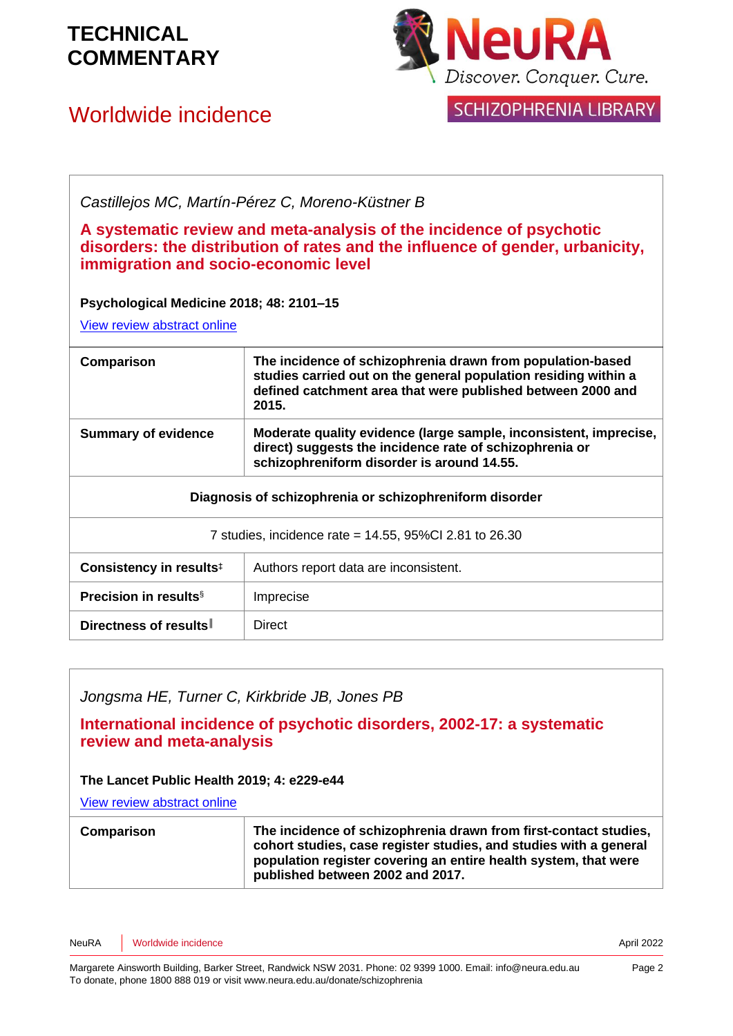

## Worldwide incidence



SCHIZOPHRENIA LIBRARY

*Castillejos MC, Martín-Pérez C, Moreno-Küstner B*

**A systematic review and meta-analysis of the incidence of psychotic disorders: the distribution of rates and the influence of gender, urbanicity, immigration and socio-economic level**

**Psychological Medicine 2018; 48: 2101–15**

[View review abstract online](https://pubmed.ncbi.nlm.nih.gov/29467052/)

| Comparison                                              | The incidence of schizophrenia drawn from population-based<br>studies carried out on the general population residing within a<br>defined catchment area that were published between 2000 and<br>2015. |
|---------------------------------------------------------|-------------------------------------------------------------------------------------------------------------------------------------------------------------------------------------------------------|
| <b>Summary of evidence</b>                              | Moderate quality evidence (large sample, inconsistent, imprecise,<br>direct) suggests the incidence rate of schizophrenia or<br>schizophreniform disorder is around 14.55.                            |
| Diagnosis of schizophrenia or schizophreniform disorder |                                                                                                                                                                                                       |
| 7 studies, incidence rate = 14.55, 95%Cl 2.81 to 26.30  |                                                                                                                                                                                                       |
| Consistency in results <sup>‡</sup>                     | Authors report data are inconsistent.                                                                                                                                                                 |
| <b>Precision in results</b> <sup>§</sup>                | Imprecise                                                                                                                                                                                             |
| Directness of results                                   | Direct                                                                                                                                                                                                |

### *Jongsma HE, Turner C, Kirkbride JB, Jones PB*

**International incidence of psychotic disorders, 2002-17: a systematic review and meta-analysis**

#### **The Lancet Public Health 2019; 4: e229-e44**

[View review abstract online](https://www.thelancet.com/journals/lanpub/article/PIIS2468-2667(19)30056-8/fulltext) 

| The incidence of schizophrenia drawn from first-contact studies,<br>Comparison<br>cohort studies, case register studies, and studies with a general<br>population register covering an entire health system, that were<br>published between 2002 and 2017. |
|------------------------------------------------------------------------------------------------------------------------------------------------------------------------------------------------------------------------------------------------------------|
|------------------------------------------------------------------------------------------------------------------------------------------------------------------------------------------------------------------------------------------------------------|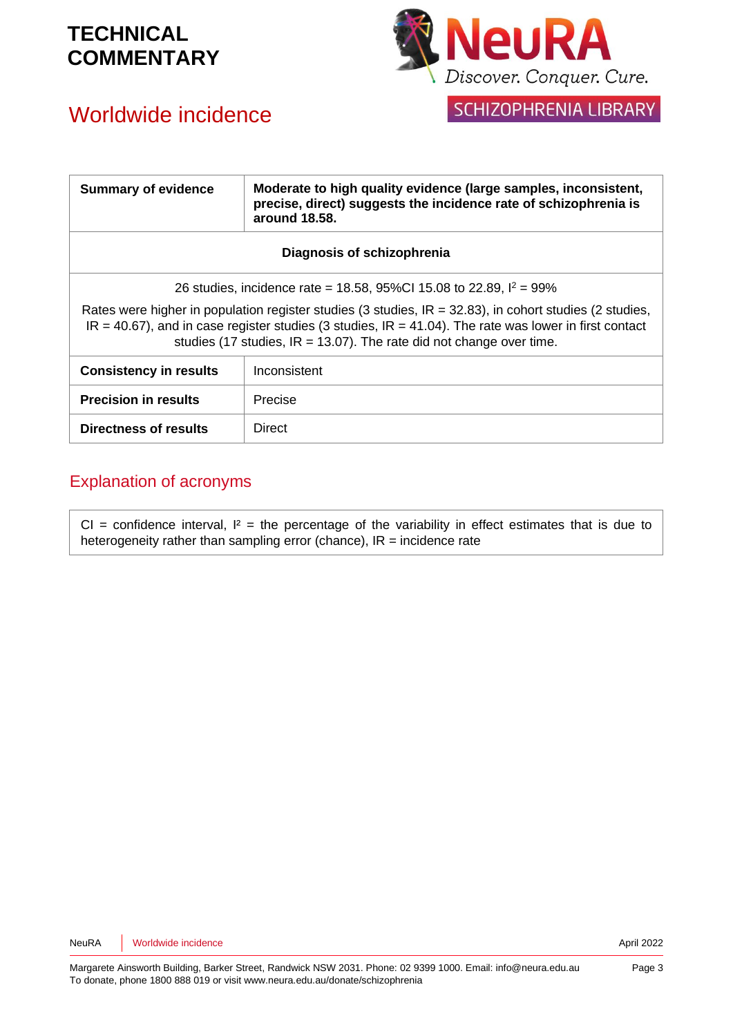# Worldwide incidence



SCHIZOPHRENIA LIBRARY

| <b>Summary of evidence</b>                                                                                                                                                                                                                                                                           | Moderate to high quality evidence (large samples, inconsistent,<br>precise, direct) suggests the incidence rate of schizophrenia is<br>around 18.58. |  |
|------------------------------------------------------------------------------------------------------------------------------------------------------------------------------------------------------------------------------------------------------------------------------------------------------|------------------------------------------------------------------------------------------------------------------------------------------------------|--|
| Diagnosis of schizophrenia                                                                                                                                                                                                                                                                           |                                                                                                                                                      |  |
| 26 studies, incidence rate = 18.58, 95%Cl 15.08 to 22.89, $I^2 = 99\%$                                                                                                                                                                                                                               |                                                                                                                                                      |  |
| Rates were higher in population register studies (3 studies, $IR = 32.83$ ), in cohort studies (2 studies,<br>$IR = 40.67$ , and in case register studies (3 studies, $IR = 41.04$ ). The rate was lower in first contact<br>studies (17 studies, $IR = 13.07$ ). The rate did not change over time. |                                                                                                                                                      |  |
| <b>Consistency in results</b>                                                                                                                                                                                                                                                                        | Inconsistent                                                                                                                                         |  |
| <b>Precision in results</b>                                                                                                                                                                                                                                                                          | Precise                                                                                                                                              |  |
| Directness of results                                                                                                                                                                                                                                                                                | <b>Direct</b>                                                                                                                                        |  |

### Explanation of acronyms

CI = confidence interval,  $I^2$  = the percentage of the variability in effect estimates that is due to heterogeneity rather than sampling error (chance),  $IR =$  incidence rate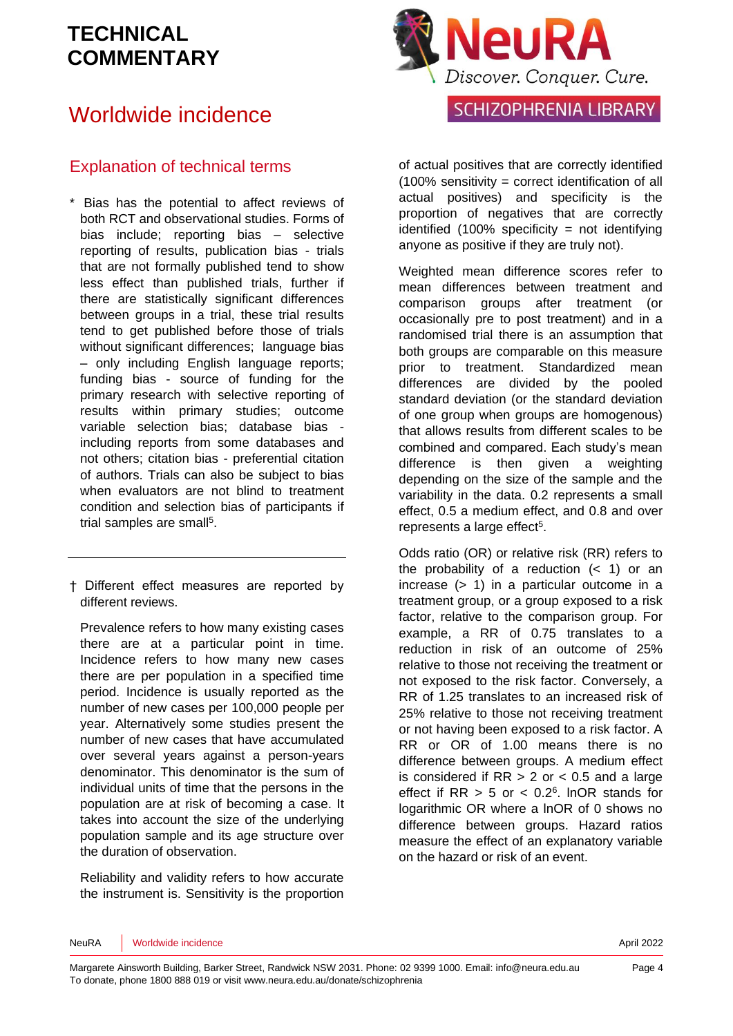## Worldwide incidence

### Explanation of technical terms

- \* Bias has the potential to affect reviews of both RCT and observational studies. Forms of bias include; reporting bias – selective reporting of results, publication bias - trials that are not formally published tend to show less effect than published trials, further if there are statistically significant differences between groups in a trial, these trial results tend to get published before those of trials without significant differences; language bias – only including English language reports; funding bias - source of funding for the primary research with selective reporting of results within primary studies; outcome variable selection bias; database bias including reports from some databases and not others; citation bias - preferential citation of authors. Trials can also be subject to bias when evaluators are not blind to treatment condition and selection bias of participants if trial samples are sma[ll](#page-5-4)<sup>5</sup>.
- † Different effect measures are reported by different reviews.

Prevalence refers to how many existing cases there are at a particular point in time. Incidence refers to how many new cases there are per population in a specified time period. Incidence is usually reported as the number of new cases per 100,000 people per year. Alternatively some studies present the number of new cases that have accumulated over several years against a person-years denominator. This denominator is the sum of individual units of time that the persons in the population are at risk of becoming a case. It takes into account the size of the underlying population sample and its age structure over the duration of observation.

Reliability and validity refers to how accurate the instrument is. Sensitivity is the proportion



SCHIZOPHRENIA LIBRARY

of actual positives that are correctly identified (100% sensitivity = correct identification of all actual positives) and specificity is the proportion of negatives that are correctly identified  $(100\%$  specificity = not identifying anyone as positive if they are truly not).

Weighted mean difference scores refer to mean differences between treatment and comparison groups after treatment (or occasionally pre to post treatment) and in a randomised trial there is an assumption that both groups are comparable on this measure prior to treatment. Standardized mean differences are divided by the pooled standard deviation (or the standard deviation of one group when groups are homogenous) that allows results from different scales to be combined and compared. Each study's mean difference is then given a weighting depending on the size of the sample and the variability in the data. 0.2 represents a small effect, 0.5 a medium effect, and 0.8 and over represents a large effect<sup>[5](#page-5-4)</sup>.

Odds ratio (OR) or relative risk (RR) refers to the probability of a reduction  $( $1$ )$  or an increase (> 1) in a particular outcome in a treatment group, or a group exposed to a risk factor, relative to the comparison group. For example, a RR of 0.75 translates to a reduction in risk of an outcome of 25% relative to those not receiving the treatment or not exposed to the risk factor. Conversely, a RR of 1.25 translates to an increased risk of 25% relative to those not receiving treatment or not having been exposed to a risk factor. A RR or OR of 1.00 means there is no difference between groups. A medium effect is considered if  $RR > 2$  or  $< 0.5$  and a large effect if  $RR > 5$  or  $< 0.2<sup>6</sup>$  $< 0.2<sup>6</sup>$  $< 0.2<sup>6</sup>$ . InOR stands for logarithmic OR where a lnOR of 0 shows no difference between groups. Hazard ratios measure the effect of an explanatory variable on the hazard or risk of an event.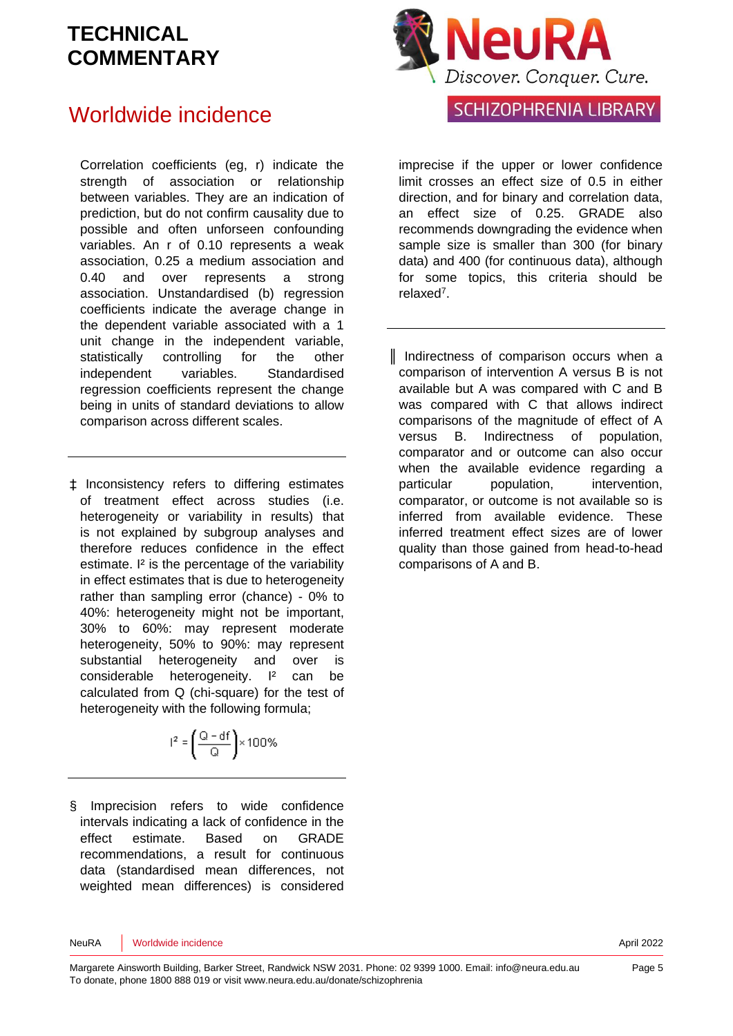## Worldwide incidence

Correlation coefficients (eg, r) indicate the strength of association or relationship between variables. They are an indication of prediction, but do not confirm causality due to possible and often unforseen confounding variables. An r of 0.10 represents a weak association, 0.25 a medium association and 0.40 and over represents a strong association. Unstandardised (b) regression coefficients indicate the average change in the dependent variable associated with a 1 unit change in the independent variable, statistically controlling for the other independent variables. Standardised regression coefficients represent the change being in units of standard deviations to allow comparison across different scales.

‡ Inconsistency refers to differing estimates of treatment effect across studies (i.e. heterogeneity or variability in results) that is not explained by subgroup analyses and therefore reduces confidence in the effect estimate. I² is the percentage of the variability in effect estimates that is due to heterogeneity rather than sampling error (chance) - 0% to 40%: heterogeneity might not be important, 30% to 60%: may represent moderate heterogeneity, 50% to 90%: may represent substantial heterogeneity and over is considerable heterogeneity. I² can be calculated from Q (chi-square) for the test of heterogeneity with the following formula;

$$
I^2 = \left(\frac{Q - df}{Q}\right) \times 100\%
$$

§ Imprecision refers to wide confidence intervals indicating a lack of confidence in the effect estimate. Based on GRADE recommendations, a result for continuous data (standardised mean differences, not weighted mean differences) is considered



### SCHIZOPHRENIA LIBRARY

imprecise if the upper or lower confidence limit crosses an effect size of 0.5 in either direction, and for binary and correlation data, an effect size of 0.25. GRADE also recommends downgrading the evidence when sample size is smaller than 300 (for binary data) and 400 (for continuous data), although for some topics, this criteria should be relaxe[d](#page-5-6)<sup>7</sup>.

║ Indirectness of comparison occurs when a comparison of intervention A versus B is not available but A was compared with C and B was compared with C that allows indirect comparisons of the magnitude of effect of A versus B. Indirectness of population, comparator and or outcome can also occur when the available evidence regarding a particular population, intervention, comparator, or outcome is not available so is inferred from available evidence. These inferred treatment effect sizes are of lower quality than those gained from head-to-head comparisons of A and B.

NeuRA Worldwide incidence **April 2022**